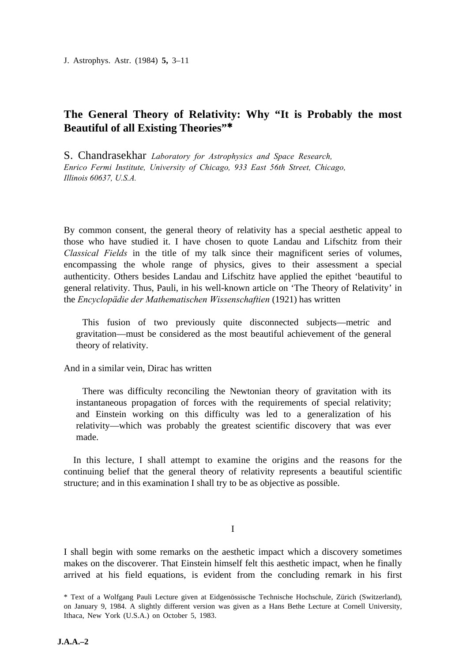J. Astrophys. Astr. (1984) **5,** 3–11

# **The General Theory of Relativity: Why "It is Probably the most Beautiful of all Existing Theories"\***

S. Chandrasekhar *Laboratory for Astrophysics and Space Research, Enrico Fermi Institute, University of Chicago, 933 East 56th Street, Chicago, Illinois 60637, U.S.A.*

By common consent, the general theory of relativity has a special aesthetic appeal to those who have studied it. I have chosen to quote Landau and Lifschitz from their *Classical Fields* in the title of my talk since their magnificent series of volumes, encompassing the whole range of physics, gives to their assessment a special authenticity. Others besides Landau and Lifschitz have applied the epithet 'beautiful to general relativity. Thus, Pauli, in his well-known article on 'The Theory of Relativity' in the *Encyclopädie der Mathematischen Wissenschaftien* (1921) has written

This fusion of two previously quite disconnected subjects—metric and gravitation—must be considered as the most beautiful achievement of the general theory of relativity.

And in a similar vein, Dirac has written

There was difficulty reconciling the Newtonian theory of gravitation with its instantaneous propagation of forces with the requirements of special relativity; and Einstein working on this difficulty was led to a generalization of his relativity—which was probably the greatest scientific discovery that was ever made.

In this lecture, I shall attempt to examine the origins and the reasons for the continuing belief that the general theory of relativity represents a beautiful scientific structure; and in this examination I shall try to be as objective as possible.

I

I shall begin with some remarks on the aesthetic impact which a discovery sometimes makes on the discoverer. That Einstein himself felt this aesthetic impact, when he finally arrived at his field equations, is evident from the concluding remark in his first

<sup>\*</sup> Text of a Wolfgang Pauli Lecture given at Eidgenössische Technische Hochschule, Zürich (Switzerland), on January 9, 1984. A slightly different version was given as a Hans Bethe Lecture at Cornell University, Ithaca, New York (U.S.A.) on October 5, 1983.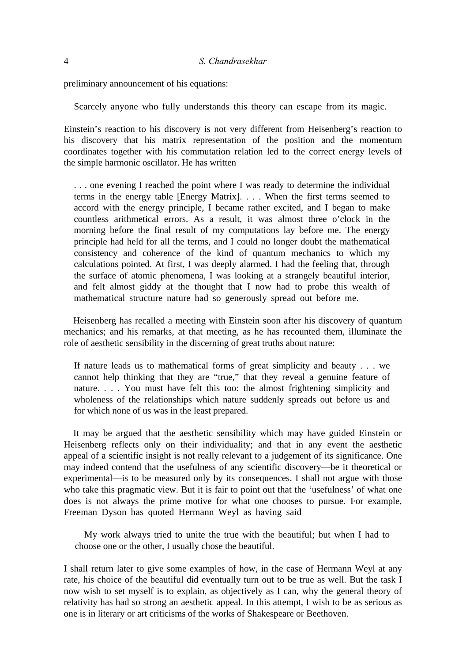preliminary announcement of his equations:

Scarcely anyone who fully understands this theory can escape from its magic.

Einstein's reaction to his discovery is not very different from Heisenberg's reaction to his discovery that his matrix representation of the position and the momentum coordinates together with his commutation relation led to the correct energy levels of the simple harmonic oscillator. He has written

. . . one evening I reached the point where I was ready to determine the individual terms in the energy table [Energy Matrix]. . . . When the first terms seemed to accord with the energy principle, I became rather excited, and I began to make countless arithmetical errors. As a result, it was almost three o'clock in the morning before the final result of my computations lay before me. The energy principle had held for all the terms, and I could no longer doubt the mathematical consistency and coherence of the kind of quantum mechanics to which my calculations pointed. At first, I was deeply alarmed. I had the feeling that, through the surface of atomic phenomena, I was looking at a strangely beautiful interior, and felt almost giddy at the thought that I now had to probe this wealth of mathematical structure nature had so generously spread out before me.

Heisenberg has recalled a meeting with Einstein soon after his discovery of quantum mechanics; and his remarks, at that meeting, as he has recounted them, illuminate the role of aesthetic sensibility in the discerning of great truths about nature:

If nature leads us to mathematical forms of great simplicity and beauty . . . we cannot help thinking that they are "true," that they reveal a genuine feature of nature. . . . You must have felt this too: the almost frightening simplicity and wholeness of the relationships which nature suddenly spreads out before us and for which none of us was in the least prepared.

It may be argued that the aesthetic sensibility which may have guided Einstein or Heisenberg reflects only on their individuality; and that in any event the aesthetic appeal of a scientific insight is not really relevant to a judgement of its significance. One may indeed contend that the usefulness of any scientific discovery—be it theoretical or experimental—is to be measured only by its consequences. I shall not argue with those who take this pragmatic view. But it is fair to point out that the 'usefulness' of what one does is not always the prime motive for what one chooses to pursue. For example, Freeman Dyson has quoted Hermann Weyl as having said

My work always tried to unite the true with the beautiful; but when I had to choose one or the other, I usually chose the beautiful.

I shall return later to give some examples of how, in the case of Hermann Weyl at any rate, his choice of the beautiful did eventually turn out to be true as well. But the task I now wish to set myself is to explain, as objectively as I can, why the general theory of relativity has had so strong an aesthetic appeal. In this attempt, I wish to be as serious as one is in literary or art criticisms of the works of Shakespeare or Beethoven.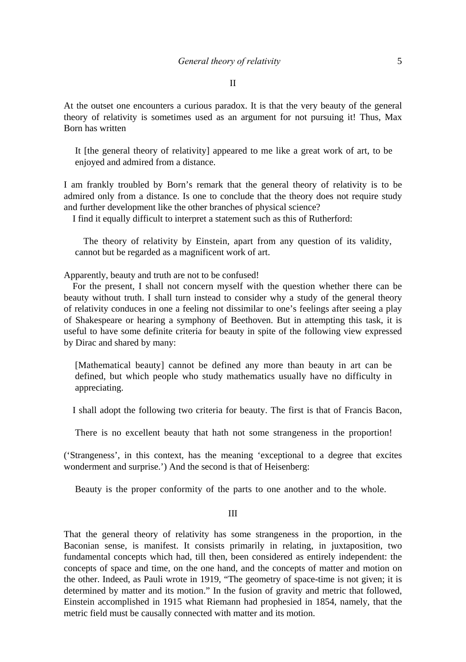II

At the outset one encounters a curious paradox. It is that the very beauty of the general theory of relativity is sometimes used as an argument for not pursuing it! Thus, Max Born has written

It [the general theory of relativity] appeared to me like a great work of art, to be enjoyed and admired from a distance.

I am frankly troubled by Born's remark that the general theory of relativity is to be admired only from a distance. Is one to conclude that the theory does not require study and further development like the other branches of physical science?

I find it equally difficult to interpret a statement such as this of Rutherford:

The theory of relativity by Einstein, apart from any question of its validity, cannot but be regarded as a magnificent work of art.

Apparently, beauty and truth are not to be confused!

For the present, I shall not concern myself with the question whether there can be beauty without truth. I shall turn instead to consider why a study of the general theory of relativity conduces in one a feeling not dissimilar to one's feelings after seeing a play of Shakespeare or hearing a symphony of Beethoven. But in attempting this task, it is useful to have some definite criteria for beauty in spite of the following view expressed by Dirac and shared by many:

[Mathematical beauty] cannot be defined any more than beauty in art can be defined, but which people who study mathematics usually have no difficulty in appreciating.

I shall adopt the following two criteria for beauty. The first is that of Francis Bacon,

There is no excellent beauty that hath not some strangeness in the proportion!

('Strangeness', in this context, has the meaning 'exceptional to a degree that excites wonderment and surprise.') And the second is that of Heisenberg:

Beauty is the proper conformity of the parts to one another and to the whole.

III

That the general theory of relativity has some strangeness in the proportion, in the Baconian sense, is manifest. It consists primarily in relating, in juxtaposition, two fundamental concepts which had, till then, been considered as entirely independent: the concepts of space and time, on the one hand, and the concepts of matter and motion on the other. Indeed, as Pauli wrote in 1919, "The geometry of space-time is not given; it is determined by matter and its motion." In the fusion of gravity and metric that followed, Einstein accomplished in 1915 what Riemann had prophesied in 1854, namely, that the metric field must be causally connected with matter and its motion.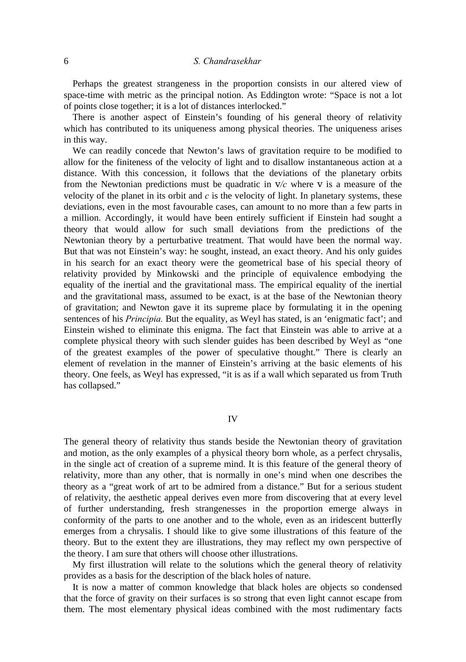# 6 *S. Chandrasekhar*

Perhaps the greatest strangeness in the proportion consists in our altered view of space-time with metric as the principal notion. As Eddington wrote: "Space is not a lot of points close together; it is a lot of distances interlocked."

There is another aspect of Einstein's founding of his general theory of relativity which has contributed to its uniqueness among physical theories. The uniqueness arises in this way.

We can readily concede that Newton's laws of gravitation require to be modified to allow for the finiteness of the velocity of light and to disallow instantaneous action at a distance. With this concession, it follows that the deviations of the planetary orbits from the Newtonian predictions must be quadratic in *v/c* where *v* is a measure of the velocity of the planet in its orbit and *c* is the velocity of light. In planetary systems, these deviations, even in the most favourable cases, can amount to no more than a few parts in a million. Accordingly, it would have been entirely sufficient if Einstein had sought a theory that would allow for such small deviations from the predictions of the Newtonian theory by a perturbative treatment. That would have been the normal way. But that was not Einstein's way: he sought, instead, an exact theory. And his only guides in his search for an exact theory were the geometrical base of his special theory of relativity provided by Minkowski and the principle of equivalence embodying the equality of the inertial and the gravitational mass. The empirical equality of the inertial and the gravitational mass, assumed to be exact, is at the base of the Newtonian theory of gravitation; and Newton gave it its supreme place by formulating it in the opening sentences of his *Principia.* But the equality, as Weyl has stated, is an 'enigmatic fact'; and Einstein wished to eliminate this enigma. The fact that Einstein was able to arrive at a complete physical theory with such slender guides has been described by Weyl as "one of the greatest examples of the power of speculative thought." There is clearly an element of revelation in the manner of Einstein's arriving at the basic elements of his theory. One feels, as Weyl has expressed, "it is as if a wall which separated us from Truth has collapsed."

IV

The general theory of relativity thus stands beside the Newtonian theory of gravitation and motion, as the only examples of a physical theory born whole, as a perfect chrysalis, in the single act of creation of a supreme mind. It is this feature of the general theory of relativity, more than any other, that is normally in one's mind when one describes the theory as a "great work of art to be admired from a distance." But for a serious student of relativity, the aesthetic appeal derives even more from discovering that at every level of further understanding, fresh strangenesses in the proportion emerge always in conformity of the parts to one another and to the whole, even as an iridescent butterfly emerges from a chrysalis. I should like to give some illustrations of this feature of the theory. But to the extent they are illustrations, they may reflect my own perspective of the theory. I am sure that others will choose other illustrations.

My first illustration will relate to the solutions which the general theory of relativity provides as a basis for the description of the black holes of nature.

It is now a matter of common knowledge that black holes are objects so condensed that the force of gravity on their surfaces is so strong that even light cannot escape from them. The most elementary physical ideas combined with the most rudimentary facts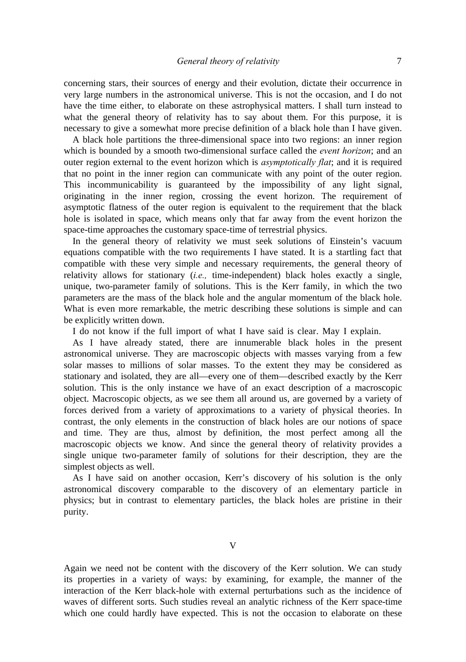concerning stars, their sources of energy and their evolution, dictate their occurrence in very large numbers in the astronomical universe. This is not the occasion, and I do not have the time either, to elaborate on these astrophysical matters. I shall turn instead to what the general theory of relativity has to say about them. For this purpose, it is necessary to give a somewhat more precise definition of a black hole than I have given.

A black hole partitions the three-dimensional space into two regions: an inner region which is bounded by a smooth two-dimensional surface called the *event horizon*; and an outer region external to the event horizon which is *asymptotically flat*; and it is required that no point in the inner region can communicate with any point of the outer region. This incommunicability is guaranteed by the impossibility of any light signal, originating in the inner region, crossing the event horizon. The requirement of asymptotic flatness of the outer region is equivalent to the requirement that the black hole is isolated in space, which means only that far away from the event horizon the space-time approaches the customary space-time of terrestrial physics.

In the general theory of relativity we must seek solutions of Einstein's vacuum equations compatible with the two requirements I have stated. It is a startling fact that compatible with these very simple and necessary requirements, the general theory of relativity allows for stationary (*i.e.,* time-independent) black holes exactly a single, unique, two-parameter family of solutions. This is the Kerr family, in which the two parameters are the mass of the black hole and the angular momentum of the black hole. What is even more remarkable, the metric describing these solutions is simple and can be explicitly written down.

I do not know if the full import of what I have said is clear. May I explain.

As I have already stated, there are innumerable black holes in the present astronomical universe. They are macroscopic objects with masses varying from a few solar masses to millions of solar masses. To the extent they may be considered as stationary and isolated, they are all—every one of them—described exactly by the Kerr solution. This is the only instance we have of an exact description of a macroscopic object. Macroscopic objects, as we see them all around us, are governed by a variety of forces derived from a variety of approximations to a variety of physical theories. In contrast, the only elements in the construction of black holes are our notions of space and time. They are thus, almost by definition, the most perfect among all the macroscopic objects we know. And since the general theory of relativity provides a single unique two-parameter family of solutions for their description, they are the simplest objects as well.

As I have said on another occasion, Kerr's discovery of his solution is the only astronomical discovery comparable to the discovery of an elementary particle in physics; but in contrast to elementary particles, the black holes are pristine in their purity.

V

Again we need not be content with the discovery of the Kerr solution. We can study its properties in a variety of ways: by examining, for example, the manner of the interaction of the Kerr black-hole with external perturbations such as the incidence of waves of different sorts. Such studies reveal an analytic richness of the Kerr space-time which one could hardly have expected. This is not the occasion to elaborate on these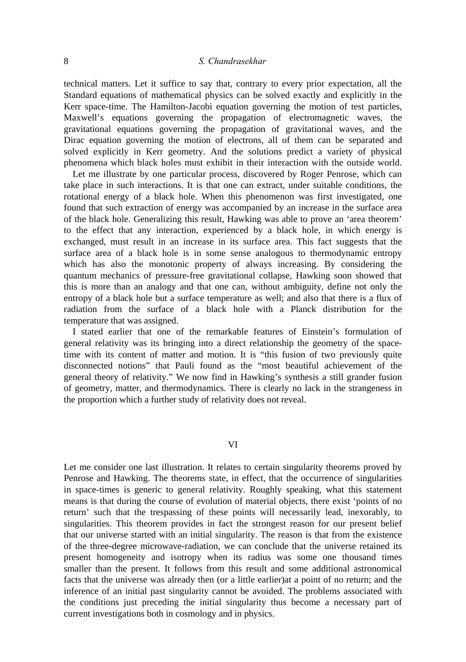# 8 *S. Chandrasekhar*

technical matters. Let it suffice to say that, contrary to every prior expectation, all the Standard equations of mathematical physics can be solved exactly and explicitly in the Kerr space-time. The Hamilton-Jacobi equation governing the motion of test particles, Maxwell's equations governing the propagation of electromagnetic waves, the gravitational equations governing the propagation of gravitational waves, and the Dirac equation governing the motion of electrons, all of them can be separated and solved explicitly in Kerr geometry. And the solutions predict a variety of physical phenomena which black holes must exhibit in their interaction with the outside world.

Let me illustrate by one particular process, discovered by Roger Penrose, which can take place in such interactions. It is that one can extract, under suitable conditions, the rotational energy of a black hole. When this phenomenon was first investigated, one found that such extraction of energy was accompanied by an increase in the surface area of the black hole. Generalizing this result, Hawking was able to prove an 'area theorem' to the effect that any interaction, experienced by a black hole, in which energy is exchanged, must result in an increase in its surface area. This fact suggests that the surface area of a black hole is in some sense analogous to thermodynamic entropy which has also the monotonic property of always increasing. By considering the quantum mechanics of pressure-free gravitational collapse, Hawking soon showed that this is more than an analogy and that one can, without ambiguity, define not only the entropy of a black hole but a surface temperature as well; and also that there is a flux of radiation from the surface of a black hole with a Planck distribution for the temperature that was assigned.

I stated earlier that one of the remarkable features of Einstein's formulation of general relativity was its bringing into a direct relationship the geometry of the spacetime with its content of matter and motion. It is "this fusion of two previously quite disconnected notions" that Pauli found as the "most beautiful achievement of the general theory of relativity." We now find in Hawking's synthesis a still grander fusion of geometry, matter, and thermodynamics. There is clearly no lack in the strangeness in the proportion which a further study of relativity does not reveal.

### VI

Let me consider one last illustration. It relates to certain singularity theorems proved by Penrose and Hawking. The theorems state, in effect, that the occurrence of singularities in space-times is generic to general relativity. Roughly speaking, what this statement means is that during the course of evolution of material objects, there exist 'points of no return' such that the trespassing of these points will necessarily lead, inexorably, to singularities. This theorem provides in fact the strongest reason for our present belief that our universe started with an initial singularity. The reason is that from the existence of the three-degree microwave-radiation, we can conclude that the universe retained its present homogeneity and isotropy when its radius was some one thousand times smaller than the present. It follows from this result and some additional astronomical facts that the universe was already then (or a little earlier)at a point of no return; and the inference of an initial past singularity cannot be avoided. The problems associated with the conditions just preceding the initial singularity thus become a necessary part of current investigations both in cosmology and in physics.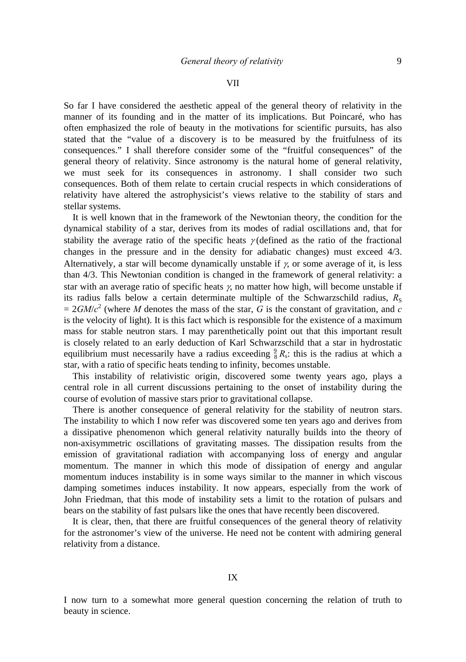#### VII

So far I have considered the aesthetic appeal of the general theory of relativity in the manner of its founding and in the matter of its implications. But Poincaré, who has often emphasized the role of beauty in the motivations for scientific pursuits, has also stated that the "value of a discovery is to be measured by the fruitfulness of its consequences." I shall therefore consider some of the "fruitful consequences" of the general theory of relativity. Since astronomy is the natural home of general relativity, we must seek for its consequences in astronomy. I shall consider two such consequences. Both of them relate to certain crucial respects in which considerations of relativity have altered the astrophysicist's views relative to the stability of stars and stellar systems.

It is well known that in the framework of the Newtonian theory, the condition for the dynamical stability of a star, derives from its modes of radial oscillations and, that for stability the average ratio of the specific heats  $\gamma$  (defined as the ratio of the fractional changes in the pressure and in the density for adiabatic changes) must exceed 4/3. Alternatively, a star will become dynamically unstable if  $\gamma$ , or some average of it, is less than 4/3. This Newtonian condition is changed in the framework of general relativity: a star with an average ratio of specific heats  $\gamma$ , no matter how high, will become unstable if its radius falls below a certain determinate multiple of the Schwarzschild radius,  $R<sub>S</sub>$  $= 2GM/c^2$  (where *M* denotes the mass of the star, *G* is the constant of gravitation, and *c* is the velocity of light). It is this fact which is responsible for the existence of a maximum mass for stable neutron stars. I may parenthetically point out that this important result is closely related to an early deduction of Karl Schwarzschild that a star in hydrostatic equilibrium must necessarily have a radius exceeding  $\frac{9}{8}R_s$ : this is the radius at which a star, with a ratio of specific heats tending to infinity, becomes unstable.

This instability of relativistic origin, discovered some twenty years ago, plays a central role in all current discussions pertaining to the onset of instability during the course of evolution of massive stars prior to gravitational collapse.

There is another consequence of general relativity for the stability of neutron stars. The instability to which I now refer was discovered some ten years ago and derives from a dissipative phenomenon which general relativity naturally builds into the theory of non-axisymmetric oscillations of gravitating masses. The dissipation results from the emission of gravitational radiation with accompanying loss of energy and angular momentum. The manner in which this mode of dissipation of energy and angular momentum induces instability is in some ways similar to the manner in which viscous damping sometimes induces instability. It now appears, especially from the work of John Friedman, that this mode of instability sets a limit to the rotation of pulsars and bears on the stability of fast pulsars like the ones that have recently been discovered.

It is clear, then, that there are fruitful consequences of the general theory of relativity for the astronomer's view of the universe. He need not be content with admiring general relativity from a distance.

I now turn to a somewhat more general question concerning the relation of truth to beauty in science.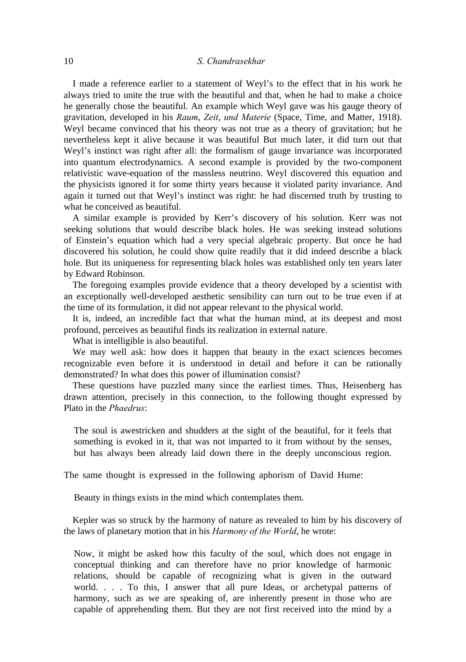### 10 *S. Chandrasekhar*

I made a reference earlier to a statement of Weyl's to the effect that in his work he always tried to unite the true with the beautiful and that, when he had to make a choice he generally chose the beautiful. An example which Weyl gave was his gauge theory of gravitation, developed in his *Raum*, *Zeit*, *und Materie* (Space, Time, and Matter, 1918). Weyl became convinced that his theory was not true as a theory of gravitation; but he nevertheless kept it alive because it was beautiful But much later, it did turn out that Weyl's instinct was right after all: the formalism of gauge invariance was incorporated into quantum electrodynamics. A second example is provided by the two-component relativistic wave-equation of the massless neutrino. Weyl discovered this equation and the physicists ignored it for some thirty years because it violated parity invariance. And again it turned out that Weyl's instinct was right: he had discerned truth by trusting to what he conceived as beautiful.

A similar example is provided by Kerr's discovery of his solution. Kerr was not seeking solutions that would describe black holes. He was seeking instead solutions of Einstein's equation which had a very special algebraic property. But once he had discovered his solution, he could show quite readily that it did indeed describe a black hole. But its uniqueness for representing black holes was established only ten years later by Edward Robinson.

The foregoing examples provide evidence that a theory developed by a scientist with an exceptionally well-developed aesthetic sensibility can turn out to be true even if at the time of its formulation, it did not appear relevant to the physical world.

It is, indeed, an incredible fact that what the human mind, at its deepest and most profound, perceives as beautiful finds its realization in external nature.

What is intelligible is also beautiful.

We may well ask: how does it happen that beauty in the exact sciences becomes recognizable even before it is understood in detail and before it can be rationally demonstrated? In what does this power of illumination consist?

These questions have puzzled many since the earliest times. Thus, Heisenberg has drawn attention, precisely in this connection, to the following thought expressed by Plato in the *Phaedrus*:

The soul is awestricken and shudders at the sight of the beautiful, for it feels that something is evoked in it, that was not imparted to it from without by the senses, but has always been already laid down there in the deeply unconscious region.

The same thought is expressed in the following aphorism of David Hume:

Beauty in things exists in the mind which contemplates them.

Kepler was so struck by the harmony of nature as revealed to him by his discovery of the laws of planetary motion that in his *Harmony of the World*, he wrote:

Now, it might be asked how this faculty of the soul, which does not engage in conceptual thinking and can therefore have no prior knowledge of harmonic relations, should be capable of recognizing what is given in the outward world. . . . To this, I answer that all pure Ideas, or archetypal patterns of harmony, such as we are speaking of, are inherently present in those who are capable of apprehending them. But they are not first received into the mind by a